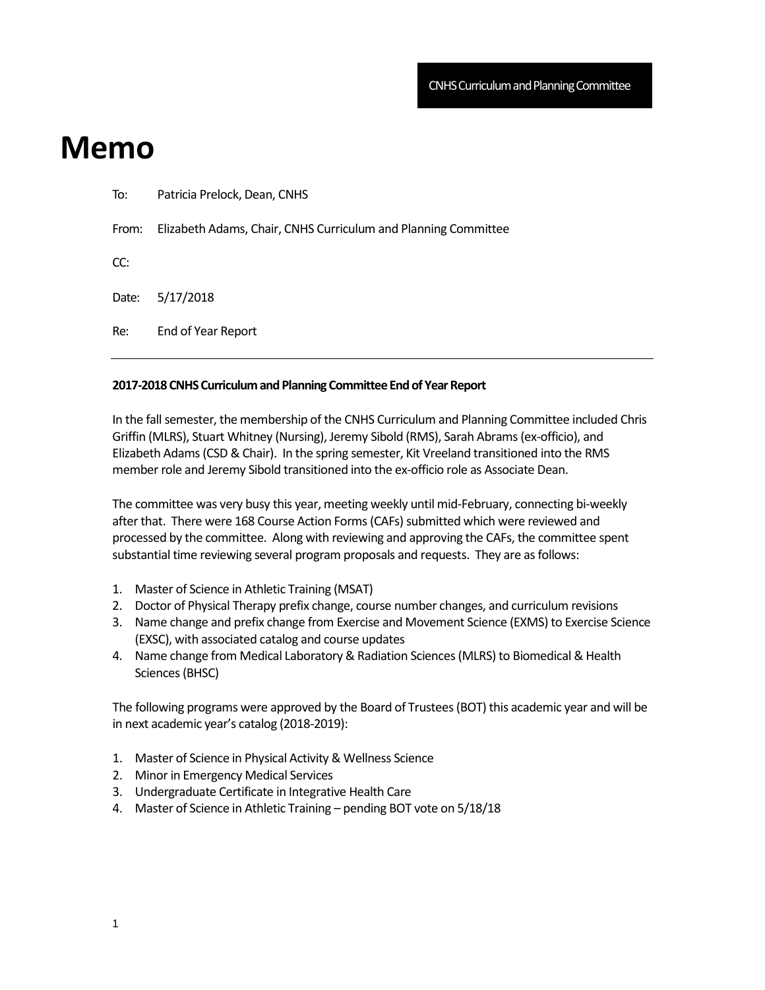## **Memo**

| To:   | Patricia Prelock, Dean, CNHS                                   |
|-------|----------------------------------------------------------------|
| From: | Elizabeth Adams, Chair, CNHS Curriculum and Planning Committee |
| CC:   |                                                                |
| Date: | 5/17/2018                                                      |
| Re:   | End of Year Report                                             |
|       |                                                                |

## **2017-2018 CNHS Curriculum and Planning Committee End of Year Report**

In the fall semester, the membership of the CNHS Curriculum and Planning Committee included Chris Griffin (MLRS), Stuart Whitney (Nursing), Jeremy Sibold (RMS), Sarah Abrams (ex-officio), and Elizabeth Adams (CSD & Chair). In the spring semester, Kit Vreeland transitioned into the RMS member role and Jeremy Sibold transitioned into the ex-officio role as Associate Dean.

The committee was very busy this year, meeting weekly until mid-February, connecting bi-weekly after that. There were 168 Course Action Forms (CAFs) submitted which were reviewed and processed by the committee. Along with reviewing and approving the CAFs, the committee spent substantial time reviewing several program proposals and requests. They are as follows:

- 1. Master of Science in Athletic Training (MSAT)
- 2. Doctor of Physical Therapy prefix change, course number changes, and curriculum revisions
- 3. Name change and prefix change from Exercise and Movement Science (EXMS) to Exercise Science (EXSC), with associated catalog and course updates
- 4. Name change from Medical Laboratory & Radiation Sciences (MLRS) to Biomedical & Health Sciences (BHSC)

The following programs were approved by the Board of Trustees (BOT) this academic year and will be in next academic year's catalog (2018-2019):

- 1. Master of Science in Physical Activity & Wellness Science
- 2. Minor in Emergency Medical Services
- 3. Undergraduate Certificate in Integrative Health Care
- 4. Master of Science in Athletic Training pending BOT vote on 5/18/18